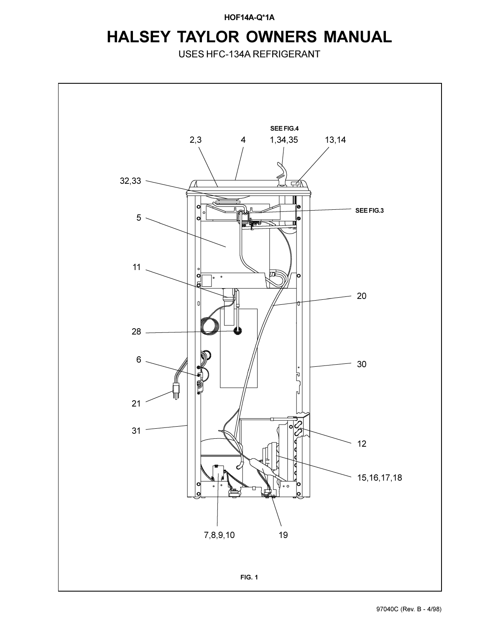**HOF14A-Q\*1A**

## **HALSEY TAYLOR OWNERS MANUAL**

USES HFC-134A REFRIGERANT

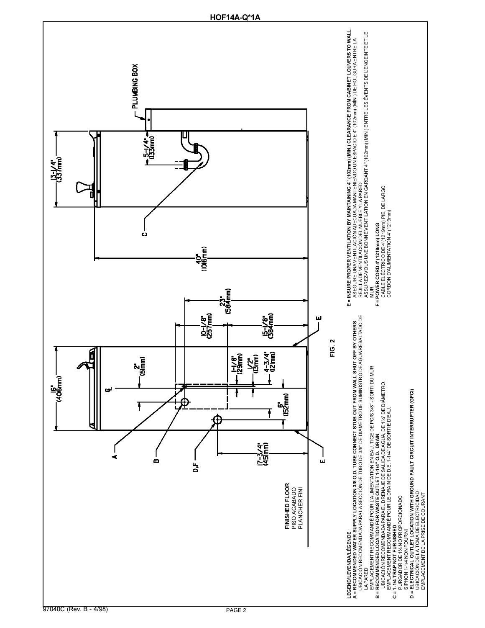![](_page_1_Figure_0.jpeg)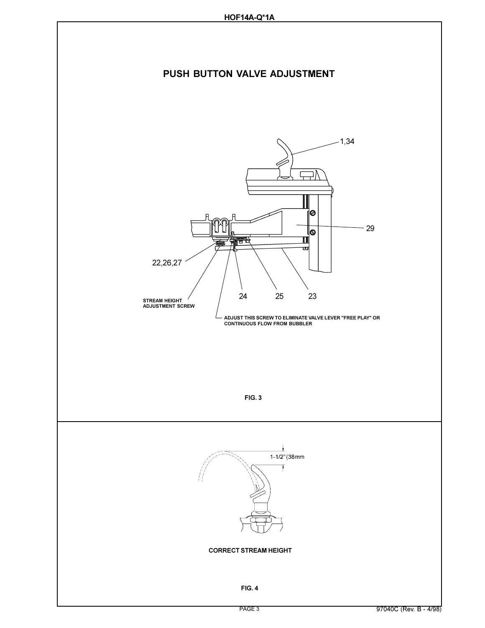![](_page_2_Figure_1.jpeg)